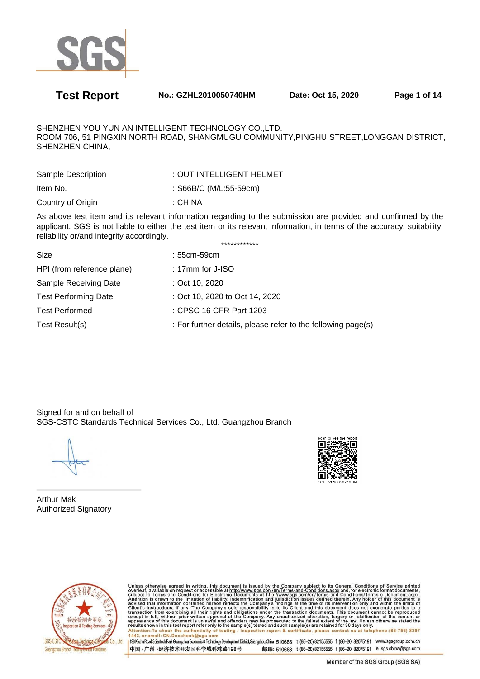

**Test Report No.: GZHL2010050740HM Date: Oct 15, 2020 Page 1 of 14** 

SHENZHEN YOU YUN AN INTELLIGENT TECHNOLOGY CO.,LTD. ROOM 706, 51 PINGXIN NORTH ROAD, SHANGMUGU COMMUNITY,PINGHU STREET,LONGGAN DISTRICT, SHENZHEN CHINA,

| Sample Description | : OUT INTELLIGENT HELMET |
|--------------------|--------------------------|
| Item No.           | : S66B/C (M/L:55-59cm)   |
| Country of Origin  | : CHINA                  |

As above test item and its relevant information regarding to the submission are provided and confirmed by the applicant. SGS is not liable to either the test item or its relevant information, in terms of the accuracy, suitability, reliability or/and integrity accordingly. \*\*\*\*\*\*\*\*\*\*\*\*

| Size                        | : 55cm-59cm                                                  |
|-----------------------------|--------------------------------------------------------------|
| HPI (from reference plane)  | : 17 $mm$ for J-ISO                                          |
| Sample Receiving Date       | : Oct 10, 2020                                               |
| <b>Test Performing Date</b> | : Oct 10, 2020 to Oct 14, 2020                               |
| <b>Test Performed</b>       | : CPSC 16 CFR Part 1203                                      |
| Test Result(s)              | : For further details, please refer to the following page(s) |
|                             |                                                              |

Signed for and on behalf of SGS-CSTC Standards Technical Services Co., Ltd. Guangzhou Branch



————————————— Arthur Mak Authorized Signatory



Unless otherwise agreed in writing, this document is issued by the Company subject to its General Conditions of Service printed<br>overleaf, available on request or accessible at http://www.sgs.com/en/Terms-and-Conditions.asp Attention: To check the authenticity of testing / inspection report & certificate, please contact us at telephone: (86-755) 8307<br>1443, or email: CN.Doccheck@sqs.com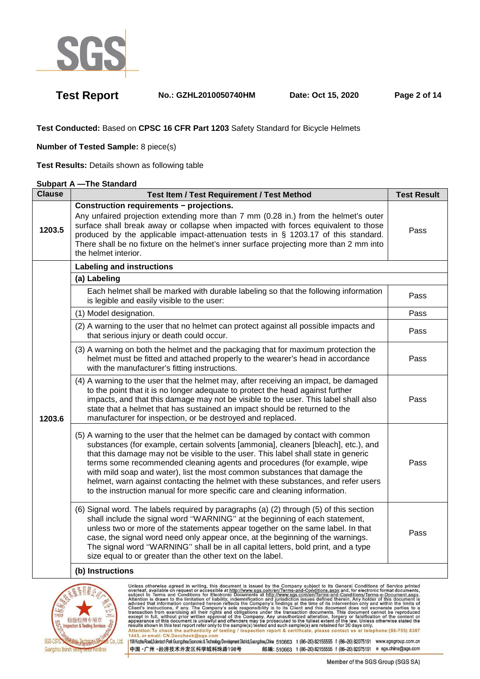

**Test Report No.: GZHL2010050740HM Date: Oct 15, 2020 Page 2 of 14** 

**Test Conducted:** Based on **CPSC 16 CFR Part 1203** Safety Standard for Bicycle Helmets

**Number of Tested Sample:** 8 piece(s)

**Test Results:** Details shown as following table

### **Subpart A —The Standard**

| <b>Clause</b> | Test Item / Test Requirement / Test Method                                                                                                                                                                                                                                                                                                                                                                                                                                                                                                                                               | <b>Test Result</b> |
|---------------|------------------------------------------------------------------------------------------------------------------------------------------------------------------------------------------------------------------------------------------------------------------------------------------------------------------------------------------------------------------------------------------------------------------------------------------------------------------------------------------------------------------------------------------------------------------------------------------|--------------------|
| 1203.5        | <b>Construction requirements - projections.</b><br>Any unfaired projection extending more than 7 mm (0.28 in.) from the helmet's outer<br>surface shall break away or collapse when impacted with forces equivalent to those<br>produced by the applicable impact-attenuation tests in § 1203.17 of this standard.<br>There shall be no fixture on the helmet's inner surface projecting more than 2 mm into<br>the helmet interior.                                                                                                                                                     | Pass               |
|               | <b>Labeling and instructions</b>                                                                                                                                                                                                                                                                                                                                                                                                                                                                                                                                                         |                    |
|               | (a) Labeling                                                                                                                                                                                                                                                                                                                                                                                                                                                                                                                                                                             |                    |
|               | Each helmet shall be marked with durable labeling so that the following information<br>is legible and easily visible to the user:                                                                                                                                                                                                                                                                                                                                                                                                                                                        | Pass               |
|               | (1) Model designation.                                                                                                                                                                                                                                                                                                                                                                                                                                                                                                                                                                   | Pass               |
|               | (2) A warning to the user that no helmet can protect against all possible impacts and<br>that serious injury or death could occur.                                                                                                                                                                                                                                                                                                                                                                                                                                                       | Pass               |
| 1203.6        | (3) A warning on both the helmet and the packaging that for maximum protection the<br>helmet must be fitted and attached properly to the wearer's head in accordance<br>with the manufacturer's fitting instructions.                                                                                                                                                                                                                                                                                                                                                                    | Pass               |
|               | (4) A warning to the user that the helmet may, after receiving an impact, be damaged<br>to the point that it is no longer adequate to protect the head against further<br>impacts, and that this damage may not be visible to the user. This label shall also<br>state that a helmet that has sustained an impact should be returned to the<br>manufacturer for inspection, or be destroyed and replaced.                                                                                                                                                                                | Pass               |
|               | (5) A warning to the user that the helmet can be damaged by contact with common<br>substances (for example, certain solvents [ammonia], cleaners [bleach], etc.), and<br>that this damage may not be visible to the user. This label shall state in generic<br>terms some recommended cleaning agents and procedures (for example, wipe<br>with mild soap and water), list the most common substances that damage the<br>helmet, warn against contacting the helmet with these substances, and refer users<br>to the instruction manual for more specific care and cleaning information. | Pass               |
|               | (6) Signal word. The labels required by paragraphs (a) (2) through (5) of this section<br>shall include the signal word "WARNING" at the beginning of each statement,<br>unless two or more of the statements appear together on the same label. In that<br>case, the signal word need only appear once, at the beginning of the warnings.<br>The signal word "WARNING" shall be in all capital letters, bold print, and a type<br>size equal to or greater than the other text on the label.                                                                                            | Pass               |
|               | (b) Instructions                                                                                                                                                                                                                                                                                                                                                                                                                                                                                                                                                                         |                    |



| Unless otherwise agreed in writing, this document is issued by the Company subject to its General Conditions of Service printed<br>overleaf. available on request or accessible at http://www.sgs.com/en/Terms-and-Conditions.aspx and, for electronic format documents,<br>subject to Terms and Conditions for Electronic Documents at http://www.sgs.com/en/Terms-and-Conditions/Terms-e-Document.aspx.<br>Attention is drawn to the limitation of liability, indemnification and iurisdiction issues defined therein. Any holder of this document is<br>advised that information contained hereon reflects the Company's findings at the time of its intervention only and within the limits of<br>Client's instructions, if any. The Company's sole responsibility is to its Client and this document does not exonerate parties to a<br>transaction from exercising all their rights and obligations under the transaction documents. This document cannot be reproduced<br>except in full, without prior written approval of the Company. Any unauthorized alteration, forgery or falsification of the content or<br>appearance of this document is unlawful and offenders may be prosecuted to the fullest extent of the law. Unless otherwise stated the<br>results shown in this test report refer only to the sample(s) tested and such sample(s) are retained for 30 days only.<br>Attention: To check the authenticity of testing / inspection report & certificate, please contact us at telephone: (86-755) 8307<br>1443, or email: CN.Doccheck@sgs.com |
|-----------------------------------------------------------------------------------------------------------------------------------------------------------------------------------------------------------------------------------------------------------------------------------------------------------------------------------------------------------------------------------------------------------------------------------------------------------------------------------------------------------------------------------------------------------------------------------------------------------------------------------------------------------------------------------------------------------------------------------------------------------------------------------------------------------------------------------------------------------------------------------------------------------------------------------------------------------------------------------------------------------------------------------------------------------------------------------------------------------------------------------------------------------------------------------------------------------------------------------------------------------------------------------------------------------------------------------------------------------------------------------------------------------------------------------------------------------------------------------------------------------------------------------------------------------------------|
| 1998 Kezhu Road, Scientech Park Guangzhou Economic & Technology Development District, Guangzhou, China 510663 t (86-20) 82155555 f (86-20) 82075191<br>www.sgsgroup.com.cn                                                                                                                                                                                                                                                                                                                                                                                                                                                                                                                                                                                                                                                                                                                                                                                                                                                                                                                                                                                                                                                                                                                                                                                                                                                                                                                                                                                            |
| e sgs.china@sgs.com<br>中国·广州·经济技术开发区科学城科珠路198号<br>邮编: 510663 t (86-20) 82155555 f (86-20) 82075191                                                                                                                                                                                                                                                                                                                                                                                                                                                                                                                                                                                                                                                                                                                                                                                                                                                                                                                                                                                                                                                                                                                                                                                                                                                                                                                                                                                                                                                                    |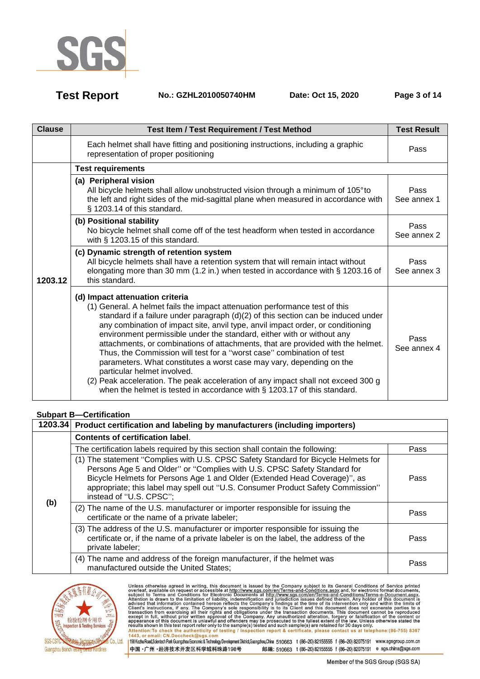

**Test Report No.: GZHL2010050740HM Date: Oct 15, 2020 Page 3 of 14** 

| <b>Clause</b> | <b>Test Item / Test Requirement / Test Method</b>                                                                                                                                                                                                                                                                                                                                                                                                                                                                                                                                                                                                                                                                                                                                                    | <b>Test Result</b>  |
|---------------|------------------------------------------------------------------------------------------------------------------------------------------------------------------------------------------------------------------------------------------------------------------------------------------------------------------------------------------------------------------------------------------------------------------------------------------------------------------------------------------------------------------------------------------------------------------------------------------------------------------------------------------------------------------------------------------------------------------------------------------------------------------------------------------------------|---------------------|
|               | Each helmet shall have fitting and positioning instructions, including a graphic<br>representation of proper positioning                                                                                                                                                                                                                                                                                                                                                                                                                                                                                                                                                                                                                                                                             | Pass                |
|               | <b>Test requirements</b>                                                                                                                                                                                                                                                                                                                                                                                                                                                                                                                                                                                                                                                                                                                                                                             |                     |
|               | (a) Peripheral vision<br>All bicycle helmets shall allow unobstructed vision through a minimum of 105°to<br>the left and right sides of the mid-sagittal plane when measured in accordance with<br>§ 1203.14 of this standard.                                                                                                                                                                                                                                                                                                                                                                                                                                                                                                                                                                       | Pass<br>See annex 1 |
|               | (b) Positional stability<br>No bicycle helmet shall come off of the test headform when tested in accordance<br>with § 1203.15 of this standard.                                                                                                                                                                                                                                                                                                                                                                                                                                                                                                                                                                                                                                                      | Pass<br>See annex 2 |
| 1203.12       | (c) Dynamic strength of retention system<br>All bicycle helmets shall have a retention system that will remain intact without<br>elongating more than 30 mm (1.2 in.) when tested in accordance with § 1203.16 of<br>this standard.                                                                                                                                                                                                                                                                                                                                                                                                                                                                                                                                                                  | Pass<br>See annex 3 |
|               | (d) Impact attenuation criteria<br>(1) General. A helmet fails the impact attenuation performance test of this<br>standard if a failure under paragraph (d)(2) of this section can be induced under<br>any combination of impact site, anvil type, anvil impact order, or conditioning<br>environment permissible under the standard, either with or without any<br>attachments, or combinations of attachments, that are provided with the helmet.<br>Thus, the Commission will test for a "worst case" combination of test<br>parameters. What constitutes a worst case may vary, depending on the<br>particular helmet involved.<br>(2) Peak acceleration. The peak acceleration of any impact shall not exceed 300 g<br>when the helmet is tested in accordance with § 1203.17 of this standard. | Pass<br>See annex 4 |

### **Subpart B—Certification**

|     | 1203.34 Product certification and labeling by manufacturers (including importers)                                                                                                                                                                                                                                                                         |      |  |  |
|-----|-----------------------------------------------------------------------------------------------------------------------------------------------------------------------------------------------------------------------------------------------------------------------------------------------------------------------------------------------------------|------|--|--|
|     | <b>Contents of certification label.</b>                                                                                                                                                                                                                                                                                                                   |      |  |  |
|     | The certification labels required by this section shall contain the following:                                                                                                                                                                                                                                                                            | Pass |  |  |
|     | (1) The statement "Complies with U.S. CPSC Safety Standard for Bicycle Helmets for<br>Persons Age 5 and Older" or "Complies with U.S. CPSC Safety Standard for<br>Bicycle Helmets for Persons Age 1 and Older (Extended Head Coverage)", as<br>appropriate; this label may spell out "U.S. Consumer Product Safety Commission"<br>instead of "U.S. CPSC"; | Pass |  |  |
| (b) | (2) The name of the U.S. manufacturer or importer responsible for issuing the<br>certificate or the name of a private labeler;                                                                                                                                                                                                                            | Pass |  |  |
|     | (3) The address of the U.S. manufacturer or importer responsible for issuing the<br>certificate or, if the name of a private labeler is on the label, the address of the<br>private labeler;                                                                                                                                                              | Pass |  |  |
|     | (4) The name and address of the foreign manufacturer, if the helmet was<br>manufactured outside the United States;                                                                                                                                                                                                                                        | Pass |  |  |



Unless otherwise agreed in writing, this document is issued by the Company subject to its General Conditions of Service printed<br>overleaf, available on request or accessible at http://www.sgs.com/en/Terms-and-Conditions.asp Passission in this essent point of the samplets) issued and such samplets are retained to so days only the samplet of the authenticity of testing / inspection report & certificate, please contact us at telephone: (86-755) 198 Kezhu Road,Scientech Park Guangzhou Economic & Technology Development District,Guangzhou,China 510663 t (86-20) 82155555 f (86-20) 82075191 www.sgsgroup.com.cn

中国·广州·经济技术开发区科学城科珠路198号 邮编: 510663 t (86-20) 82155555 f (86-20) 82075191 e sgs.china@sgs.com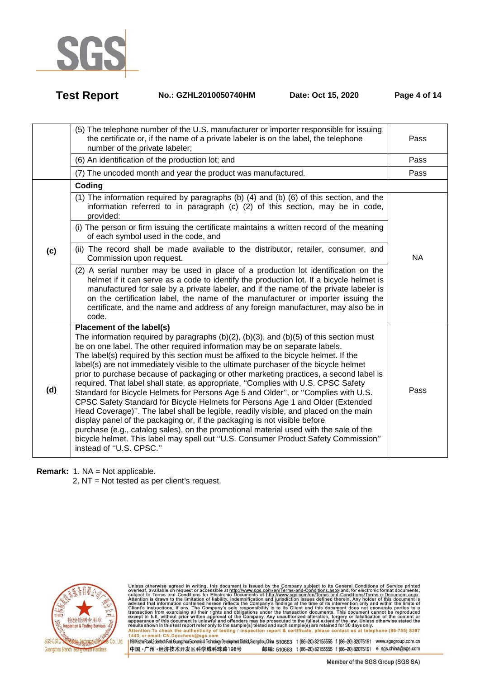

**Test Report No.: GZHL2010050740HM Date: Oct 15, 2020 Page 4 of 14** 

|     | (5) The telephone number of the U.S. manufacturer or importer responsible for issuing<br>the certificate or, if the name of a private labeler is on the label, the telephone<br>number of the private labeler;                                                                                                                                                                                                                                                                                                                                                                                                                                                                                                                                                                                                                                                                                                                                                                                                                                                                                                                | Pass      |
|-----|-------------------------------------------------------------------------------------------------------------------------------------------------------------------------------------------------------------------------------------------------------------------------------------------------------------------------------------------------------------------------------------------------------------------------------------------------------------------------------------------------------------------------------------------------------------------------------------------------------------------------------------------------------------------------------------------------------------------------------------------------------------------------------------------------------------------------------------------------------------------------------------------------------------------------------------------------------------------------------------------------------------------------------------------------------------------------------------------------------------------------------|-----------|
|     | (6) An identification of the production lot; and                                                                                                                                                                                                                                                                                                                                                                                                                                                                                                                                                                                                                                                                                                                                                                                                                                                                                                                                                                                                                                                                              | Pass      |
|     | (7) The uncoded month and year the product was manufactured.                                                                                                                                                                                                                                                                                                                                                                                                                                                                                                                                                                                                                                                                                                                                                                                                                                                                                                                                                                                                                                                                  | Pass      |
|     | Coding                                                                                                                                                                                                                                                                                                                                                                                                                                                                                                                                                                                                                                                                                                                                                                                                                                                                                                                                                                                                                                                                                                                        |           |
|     | (1) The information required by paragraphs (b) (4) and (b) (6) of this section, and the<br>information referred to in paragraph (c) (2) of this section, may be in code,<br>provided:                                                                                                                                                                                                                                                                                                                                                                                                                                                                                                                                                                                                                                                                                                                                                                                                                                                                                                                                         |           |
|     | (i) The person or firm issuing the certificate maintains a written record of the meaning<br>of each symbol used in the code, and                                                                                                                                                                                                                                                                                                                                                                                                                                                                                                                                                                                                                                                                                                                                                                                                                                                                                                                                                                                              |           |
| (c) | (ii) The record shall be made available to the distributor, retailer, consumer, and<br>Commission upon request.                                                                                                                                                                                                                                                                                                                                                                                                                                                                                                                                                                                                                                                                                                                                                                                                                                                                                                                                                                                                               | <b>NA</b> |
|     | (2) A serial number may be used in place of a production lot identification on the<br>helmet if it can serve as a code to identify the production lot. If a bicycle helmet is<br>manufactured for sale by a private labeler, and if the name of the private labeler is<br>on the certification label, the name of the manufacturer or importer issuing the<br>certificate, and the name and address of any foreign manufacturer, may also be in<br>code.                                                                                                                                                                                                                                                                                                                                                                                                                                                                                                                                                                                                                                                                      |           |
| (d) | Placement of the label(s)<br>The information required by paragraphs $(b)(2)$ , $(b)(3)$ , and $(b)(5)$ of this section must<br>be on one label. The other required information may be on separate labels.<br>The label(s) required by this section must be affixed to the bicycle helmet. If the<br>label(s) are not immediately visible to the ultimate purchaser of the bicycle helmet<br>prior to purchase because of packaging or other marketing practices, a second label is<br>required. That label shall state, as appropriate, "Complies with U.S. CPSC Safety<br>Standard for Bicycle Helmets for Persons Age 5 and Older", or "Complies with U.S.<br>CPSC Safety Standard for Bicycle Helmets for Persons Age 1 and Older (Extended<br>Head Coverage)". The label shall be legible, readily visible, and placed on the main<br>display panel of the packaging or, if the packaging is not visible before<br>purchase (e.g., catalog sales), on the promotional material used with the sale of the<br>bicycle helmet. This label may spell out "U.S. Consumer Product Safety Commission"<br>instead of "U.S. CPSC." | Pass      |

**Remark:** 1. NA = Not applicable.

2. NT = Not tested as per client's request.



Unless otherwise agreed in writing, this document is issued by the Company subject to its General Conditions of Service printed<br>overleaf, available on request or accessible at http://www.sgs.com/en/Terms-and-Conditions.asp Passission in this essent point of the samplets) issued and such samplets are retained to so days only the samplet of the authenticity of testing / inspection report & certificate, please contact us at telephone: (86-755)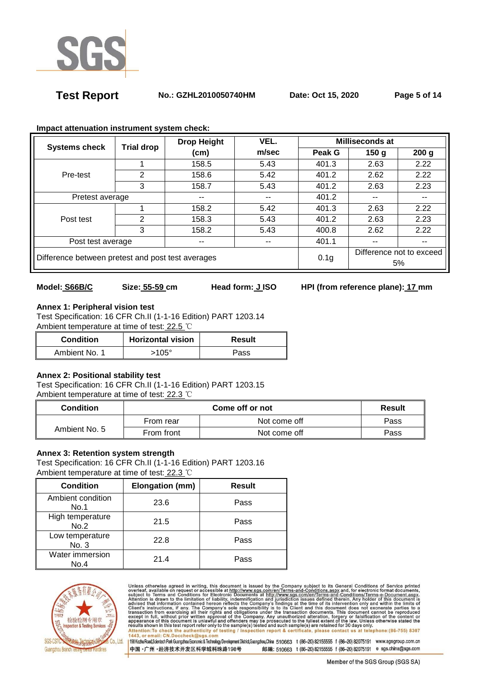

**Test Report No.: GZHL2010050740HM Date: Oct 15, 2020 Page 5 of 14** 

|                                                   | <b>Trial drop</b> | VEL.<br><b>Drop Height</b> |       | Milliseconds at                |      |                  |
|---------------------------------------------------|-------------------|----------------------------|-------|--------------------------------|------|------------------|
| <b>Systems check</b>                              |                   | (cm)                       | m/sec | Peak G                         | 150g | 200 <sub>g</sub> |
|                                                   |                   | 158.5                      | 5.43  | 401.3                          | 2.63 | 2.22             |
| Pre-test                                          | 2                 | 158.6                      | 5.42  | 401.2                          | 2.62 | 2.22             |
|                                                   | 3                 | 158.7                      | 5.43  | 401.2                          | 2.63 | 2.23             |
| Pretest average                                   |                   | --                         | --    | 401.2<br>$- -$<br>--           |      |                  |
|                                                   |                   | 158.2                      | 5.42  | 401.3                          | 2.63 | 2.22             |
| Post test                                         | 2                 | 158.3                      | 5.43  | 401.2                          | 2.63 | 2.23             |
|                                                   | 3                 | 158.2                      | 5.43  | 400.8                          | 2.62 | 2.22             |
| Post test average                                 |                   | --                         | $- -$ | 401.1                          | --   | $- -$            |
| Difference between pretest and post test averages |                   | 0.1 <sub>g</sub>           |       | Difference not to exceed<br>5% |      |                  |

### **Impact attenuation instrument system check:**

### Model: **S66B/C** Size: 55-59 cm Head form: JISO HPI (from reference plane): 17 mm

# **Annex 1: Peripheral vision test**

Test Specification: 16 CFR Ch.II (1-1-16 Edition) PART 1203.14 Ambient temperature at time of test: 22.5 ℃

| <b>Horizontal vision</b><br><b>Condition</b> |       | Result |
|----------------------------------------------|-------|--------|
| Ambient No. 1                                | 105°، | Pass   |

### **Annex 2: Positional stability test**

Test Specification: 16 CFR Ch.II (1-1-16 Edition) PART 1203.15 Ambient temperature at time of test: 22.3 ℃

| <b>Condition</b> |            | Result       |      |
|------------------|------------|--------------|------|
|                  | From rear  | Not come off | Pass |
| Ambient No. 5    | From front | Not come off | Pass |

### **Annex 3: Retention system strength**

Test Specification: 16 CFR Ch.II (1-1-16 Edition) PART 1203.16 Ambient temperature at time of test: 22.3 ℃

| <b>Condition</b>          | Elongation (mm) | <b>Result</b> |
|---------------------------|-----------------|---------------|
| Ambient condition<br>No.1 | 23.6            | Pass          |
| High temperature<br>No.2  | 21.5            | Pass          |
| Low temperature<br>No. 3  | 22.8            | Pass          |
| Water immersion<br>No.4   | 214             | Pass          |



Unless otherwise agreed in writing, this document is issued by the Company subject to its General Conditions of Service printed<br>overleaf, available on request or accessible at http://www.sgs.com/en/Terms-and-Conditions.asp Attention: To check the authenticity of testing / inspection report & certificate, please contact us at telephone: (86-755) 8307<br>1443, or email: CN.Doccheck@sgs.com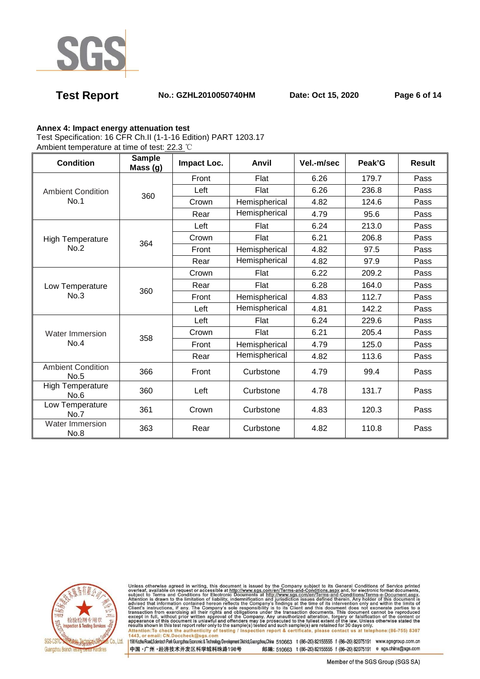

# **Test Report No.: GZHL2010050740HM Date: Oct 15, 2020 Page 6 of 14**

### **Annex 4: Impact energy attenuation test**

Test Specification: 16 CFR Ch.II (1-1-16 Edition) PART 1203.17

Ambient temperature at time of test: 22.3 ℃

| <b>Condition</b>                 | <b>Sample</b><br>Mass(g) | Impact Loc. | Anvil         | Vel.-m/sec | Peak'G | <b>Result</b> |
|----------------------------------|--------------------------|-------------|---------------|------------|--------|---------------|
|                                  |                          | Front       | Flat          | 6.26       | 179.7  | Pass          |
| <b>Ambient Condition</b>         | 360                      | Left        | Flat          | 6.26       | 236.8  | Pass          |
| No.1                             |                          | Crown       | Hemispherical | 4.82       | 124.6  | Pass          |
|                                  |                          | Rear        | Hemispherical | 4.79       | 95.6   | Pass          |
|                                  |                          | Left        | Flat          | 6.24       | 213.0  | Pass          |
| <b>High Temperature</b>          | 364                      | Crown       | Flat          | 6.21       | 206.8  | Pass          |
| No.2                             |                          | Front       | Hemispherical | 4.82       | 97.5   | Pass          |
|                                  |                          | Rear        | Hemispherical | 4.82       | 97.9   | Pass          |
|                                  | 360                      | Crown       | Flat          | 6.22       | 209.2  | Pass          |
| Low Temperature                  |                          | Rear        | Flat          | 6.28       | 164.0  | Pass          |
| No.3                             |                          | Front       | Hemispherical | 4.83       | 112.7  | Pass          |
|                                  |                          | Left        | Hemispherical | 4.81       | 142.2  | Pass          |
| <b>Water Immersion</b>           | 358                      | Left        | Flat          | 6.24       | 229.6  | Pass          |
|                                  |                          | Crown       | Flat          | 6.21       | 205.4  | Pass          |
| No.4                             |                          | Front       | Hemispherical | 4.79       | 125.0  | Pass          |
|                                  |                          | Rear        | Hemispherical | 4.82       | 113.6  | Pass          |
| <b>Ambient Condition</b><br>No.5 | 366                      | Front       | Curbstone     | 4.79       | 99.4   | Pass          |
| <b>High Temperature</b><br>No.6  | 360                      | Left        | Curbstone     | 4.78       | 131.7  | Pass          |
| Low Temperature<br>No.7          | 361                      | Crown       | Curbstone     | 4.83       | 120.3  | Pass          |
| <b>Water Immersion</b><br>No.8   | 363                      | Rear        | Curbstone     | 4.82       | 110.8  | Pass          |



Unless otherwise agreed in writing, this document is issued by the Company subject to its General Conditions of Service printed<br>overleaf, available on request or accessible at http://www.sgs.com/en/Terms-and-Conditions.asp Attention: To check the authenticity of testing / inspection report & certificate, please contact us at telephone: (86-755) 8307<br>1443, or email: CN.Doccheck@sgs.com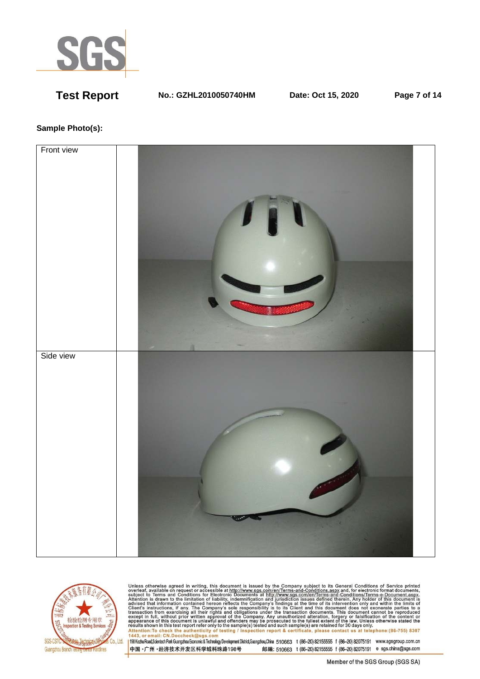

**Test Report No.: GZHL2010050740HM Date: Oct 15, 2020 Page 7 of 14** 

### **Sample Photo(s):**





Unless otherwise agreed in writing, this document is issued by the Company subject to its General Conditions of Service printed<br>overleaf, available on request or accessible at http://www.sgs.com/en/Terms-and-Conditions.asp resums shown in una essere point eneroiny to une samplets) rester and such samplets are retained to 50 usys omn<br>Attention:To check the authenticity of testing / inspection report & certificate, please contact us at telep

中国·广州·经济技术开发区科学城科珠路198号 邮编: 510663 t (86-20) 82155555 f (86-20) 82075191 e sgs.china@sgs.com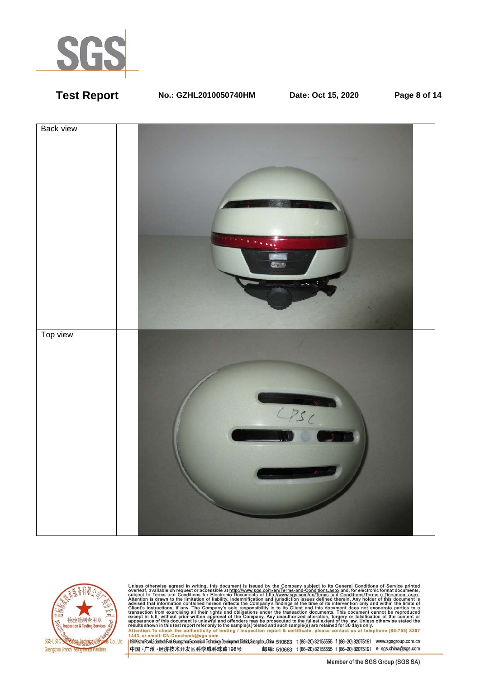

**Test Report No.: GZHL2010050740HM Date: Oct 15, 2020 Page 8 of 14** 





Unless otherwise agreed in writing, this document is issued by the Company subject to its General Conditions of Service printed<br>overleaf, available on request or accessible at http://www.sgs.com/en/Terms-and-Conditions.as resums shown in una essere point eneroiny to une samplets) rester and such samplets are retained to 50 usys omn<br>Attention:To check the authenticity of testing / inspection report & certificate, please contact us at telep

中国·广州·经济技术开发区科学城科珠路198号 邮编: 510663 t (86-20) 82155555 f (86-20) 82075191 e sgs.china@sgs.com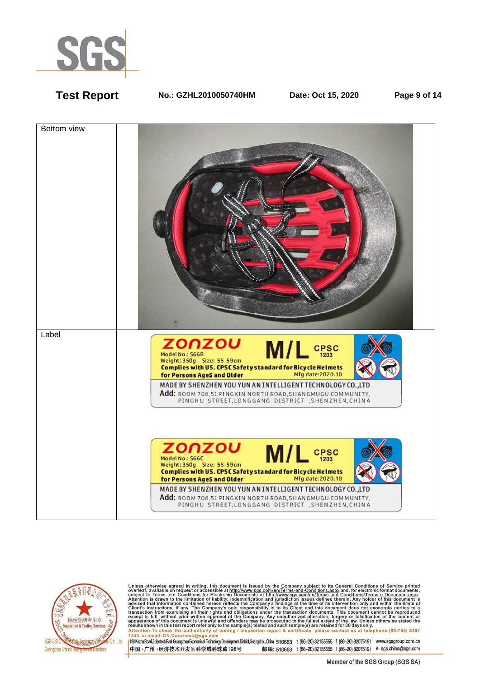

**Test Report No.: GZHL2010050740HM Date: Oct 15, 2020 Page 9 of 14** 





Unless otherwise agreed in writing, this document is issued by the Company subject to its General Conditions of Service printed<br>overleaf, available on request or accessible at http://www.sgs.com/en/Terms-and-Conditions.as Attention: To check the authenticity of testing / inspection report & certificate, please contact us at telephone: (86-755) 8307<br>1443, or email: CN.Doccheck@sqs.com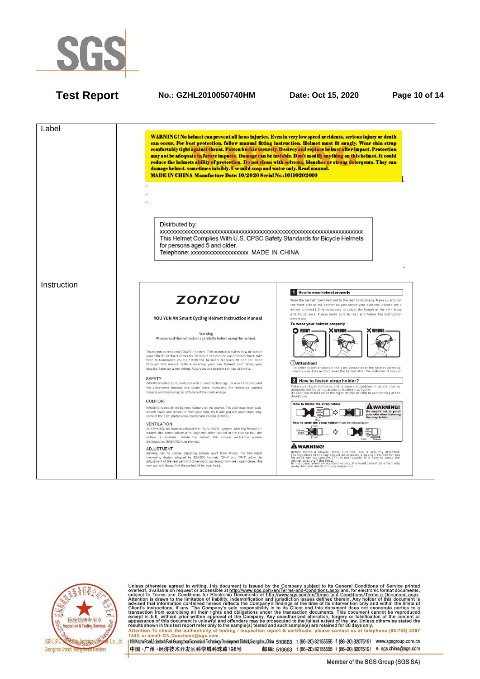

### **Test Report No.: GZHL2010050740HM Date: Oct 15, 2020 Page 10 of 14**





Unless otherwise agreed in writing, this document is issued by the Company subject to its General Conditions of Service printed<br>overleaf, available on request or accessible at http://www.sgs.com/en/Terms-and-Conditions.asp Attention: To check the authenticity of testing / inspection report & certificate, please contact us at telephone: (86-755) 8307<br>1443, or email: CN.Doccheck@sqs.com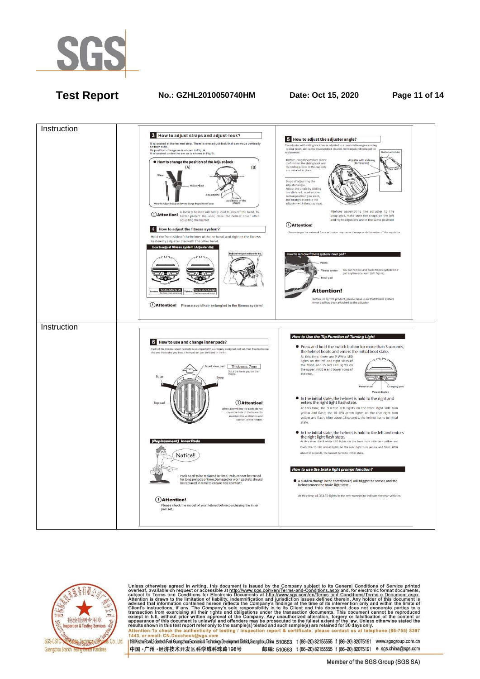

# **Test Report No.: GZHL2010050740HM Date: Oct 15, 2020 Page 11 of 14**





Unless otherwise agreed in writing, this document is issued by the Company subject to its General Conditions of Service printed<br>overleaf, available on request or accessible at http://www.sgs.com/en/Terms-and-Conditions.as Attention: To check the authenticity of testing / inspection report & certificate, please contact us at telephone: (86-755) 8307<br>1443, or email: CN.Doccheck@sqs.com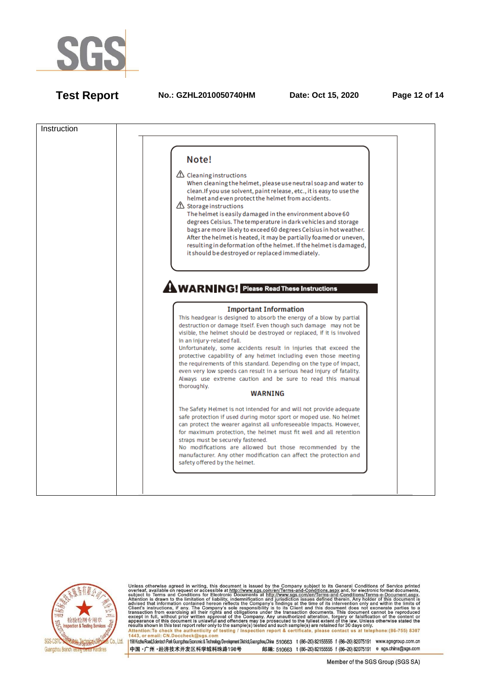

**Test Report No.: GZHL2010050740HM Date: Oct 15, 2020 Page 12 of 14**





Unless otherwise agreed in writing, this document is issued by the Company subject to its General Conditions of Service printed<br>overleaf, available on request or accessible at http://www.sgs.com/en/Terms-and-Conditions.as Attention: To check the authenticity of testing / inspection report & certificate, please contact us at telephone: (86-755) 8307<br>1443, or email: CN.Doccheck@sqs.com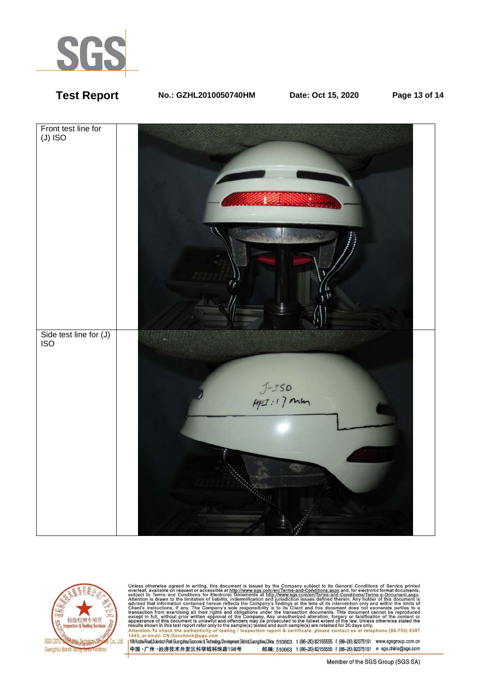

# **Test Report No.: GZHL2010050740HM Date: Oct 15, 2020 Page 13 of 14**





Unless otherwise agreed in writing, this document is issued by the Company subject to its General Conditions of Service printed<br>overleaf, available on request or accessible at http://www.sgs.com/en/Terms-and-Conditions.as Passission in this essent point of the samplets) issued and such samplets are retained to so days only the samplet of the authenticity of testing / inspection report & certificate, please contact us at telephone: (86-755)